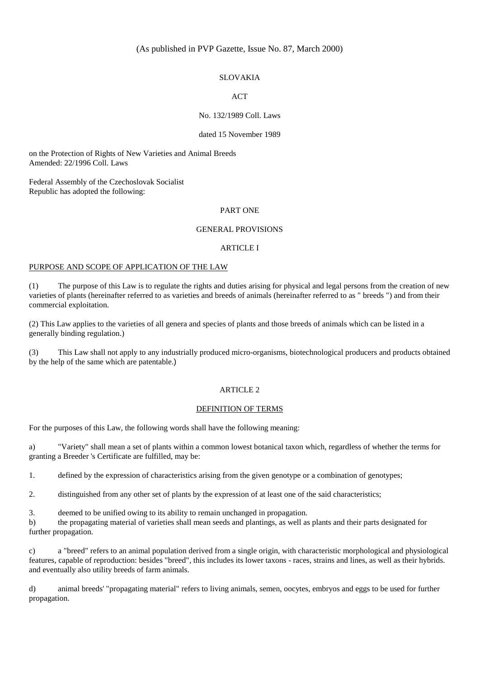## (As published in PVP Gazette, Issue No. 87, March 2000)

#### SLOVAKIA

## ACT

## No. 132/1989 Coll. Laws

#### dated 15 November 1989

on the Protection of Rights of New Varieties and Animal Breeds Amended: 22/1996 Coll. Laws

Federal Assembly of the Czechoslovak Socialist Republic has adopted the following:

#### PART ONE

#### GENERAL PROVISIONS

#### ARTICLE I

#### PURPOSE AND SCOPE OF APPLICATION OF THE LAW

(1) The purpose of this Law is to regulate the rights and duties arising for physical and legal persons from the creation of new varieties of plants (hereinafter referred to as varieties and breeds of animals (hereinafter referred to as " breeds ") and from their commercial exploitation.

(2) This Law applies to the varieties of all genera and species of plants and those breeds of animals which can be listed in a generally binding regulation.)

(3) This Law shall not apply to any industrially produced micro-organisms, biotechnological producers and products obtained by the help of the same which are patentable.)

#### ARTICLE 2

#### DEFINITION OF TERMS

For the purposes of this Law, the following words shall have the following meaning:

a) "Variety" shall mean a set of plants within a common lowest botanical taxon which, regardless of whether the terms for granting a Breeder 's Certificate are fulfilled, may be:

1. defined by the expression of characteristics arising from the given genotype or a combination of genotypes;

2. distinguished from any other set of plants by the expression of at least one of the said characteristics;

3. deemed to be unified owing to its ability to remain unchanged in propagation.

b) the propagating material of varieties shall mean seeds and plantings, as well as plants and their parts designated for further propagation.

c) a "breed" refers to an animal population derived from a single origin, with characteristic morphological and physiological features, capable of reproduction: besides "breed", this includes its lower taxons - races, strains and lines, as well as their hybrids. and eventually also utility breeds of farm animals.

d) animal breeds' "propagating material" refers to living animals, semen, oocytes, embryos and eggs to be used for further propagation.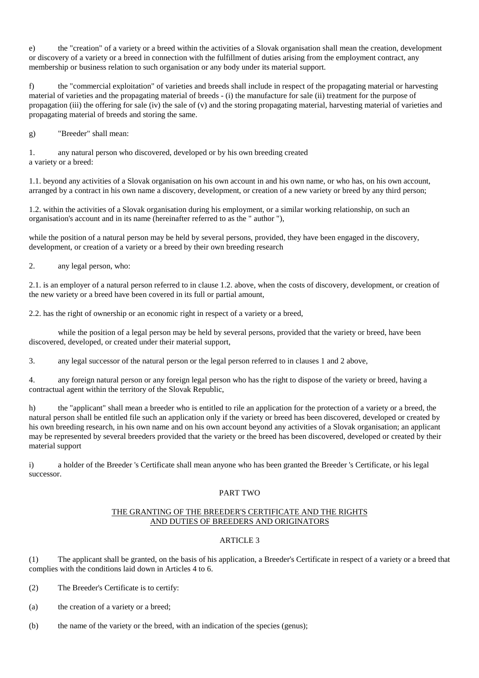e) the "creation" of a variety or a breed within the activities of a Slovak organisation shall mean the creation, development or discovery of a variety or a breed in connection with the fulfillment of duties arising from the employment contract, any membership or business relation to such organisation or any body under its material support.

f) the "commercial exploitation" of varieties and breeds shall include in respect of the propagating material or harvesting material of varieties and the propagating material of breeds - (i) the manufacture for sale (ii) treatment for the purpose of propagation (iii) the offering for sale (iv) the sale of (v) and the storing propagating material, harvesting material of varieties and propagating material of breeds and storing the same.

g) "Breeder" shall mean:

1. any natural person who discovered, developed or by his own breeding created a variety or a breed:

1.1. beyond any activities of a Slovak organisation on his own account in and his own name, or who has, on his own account, arranged by a contract in his own name a discovery, development, or creation of a new variety or breed by any third person;

1.2. within the activities of a Slovak organisation during his employment, or a similar working relationship, on such an organisation's account and in its name (hereinafter referred to as the " author "),

while the position of a natural person may be held by several persons, provided, they have been engaged in the discovery, development, or creation of a variety or a breed by their own breeding research

2. any legal person, who:

2.1. is an employer of a natural person referred to in clause 1.2. above, when the costs of discovery, development, or creation of the new variety or a breed have been covered in its full or partial amount,

2.2. has the right of ownership or an economic right in respect of a variety or a breed,

while the position of a legal person may be held by several persons, provided that the variety or breed, have been discovered, developed, or created under their material support,

3. any legal successor of the natural person or the legal person referred to in clauses 1 and 2 above,

4. any foreign natural person or any foreign legal person who has the right to dispose of the variety or breed, having a contractual agent within the territory of the Slovak Republic,

h) the "applicant" shall mean a breeder who is entitled to rile an application for the protection of a variety or a breed, the natural person shall be entitled file such an application only if the variety or breed has been discovered, developed or created by his own breeding research, in his own name and on his own account beyond any activities of a Slovak organisation; an applicant may be represented by several breeders provided that the variety or the breed has been discovered, developed or created by their material support

i) a holder of the Breeder 's Certificate shall mean anyone who has been granted the Breeder 's Certificate, or his legal successor.

## PART TWO

## THE GRANTING OF THE BREEDER'S CERTIFICATE AND THE RIGHTS AND DUTIES OF BREEDERS AND ORIGINATORS

# ARTICLE 3

(1) The applicant shall be granted, on the basis of his application, a Breeder's Certificate in respect of a variety or a breed that complies with the conditions laid down in Articles 4 to 6.

- (2) The Breeder's Certificate is to certify:
- (a) the creation of a variety or a breed;
- (b) the name of the variety or the breed, with an indication of the species (genus);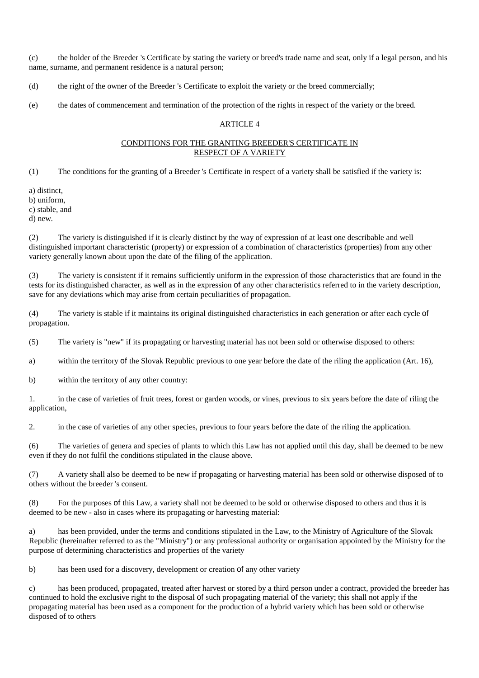(c) the holder of the Breeder 's Certificate by stating the variety or breed's trade name and seat, only if a legal person, and his name, surname, and permanent residence is a natural person;

(d) the right of the owner of the Breeder 's Certificate to exploit the variety or the breed commercially;

(e) the dates of commencement and termination of the protection of the rights in respect of the variety or the breed.

## ARTICLE 4

## CONDITIONS FOR THE GRANTING BREEDER'S CERTIFICATE IN RESPECT OF A VARIETY

(1) The conditions for the granting of a Breeder 's Certificate in respect of a variety shall be satisfied if the variety is:

a) distinct,

b) uniform,

c) stable, and

d) new.

(2) The variety is distinguished if it is clearly distinct by the way of expression of at least one describable and well distinguished important characteristic (property) or expression of a combination of characteristics (properties) from any other variety generally known about upon the date of the filing of the application.

(3) The variety is consistent if it remains sufficiently uniform in the expression of those characteristics that are found in the tests for its distinguished character, as well as in the expression of any other characteristics referred to in the variety description, save for any deviations which may arise from certain peculiarities of propagation.

(4) The variety is stable if it maintains its original distinguished characteristics in each generation or after each cycle of propagation.

(5) The variety is "new" if its propagating or harvesting material has not been sold or otherwise disposed to others:

a) within the territory of the Slovak Republic previous to one year before the date of the riling the application (Art. 16),

b) within the territory of any other country:

1. in the case of varieties of fruit trees, forest or garden woods, or vines, previous to six years before the date of riling the application,

2. in the case of varieties of any other species, previous to four years before the date of the riling the application.

(6) The varieties of genera and species of plants to which this Law has not applied until this day, shall be deemed to be new even if they do not fulfil the conditions stipulated in the clause above.

(7) A variety shall also be deemed to be new if propagating or harvesting material has been sold or otherwise disposed of to others without the breeder 's consent.

(8) For the purposes of this Law, a variety shall not be deemed to be sold or otherwise disposed to others and thus it is deemed to be new - also in cases where its propagating or harvesting material:

a) has been provided, under the terms and conditions stipulated in the Law, to the Ministry of Agriculture of the Slovak Republic (hereinafter referred to as the "Ministry") or any professional authority or organisation appointed by the Ministry for the purpose of determining characteristics and properties of the variety

b) has been used for a discovery, development or creation of any other variety

c) has been produced, propagated, treated after harvest or stored by a third person under a contract, provided the breeder has continued to hold the exclusive right to the disposal of such propagating material of the variety; this shall not apply if the propagating material has been used as a component for the production of a hybrid variety which has been sold or otherwise disposed of to others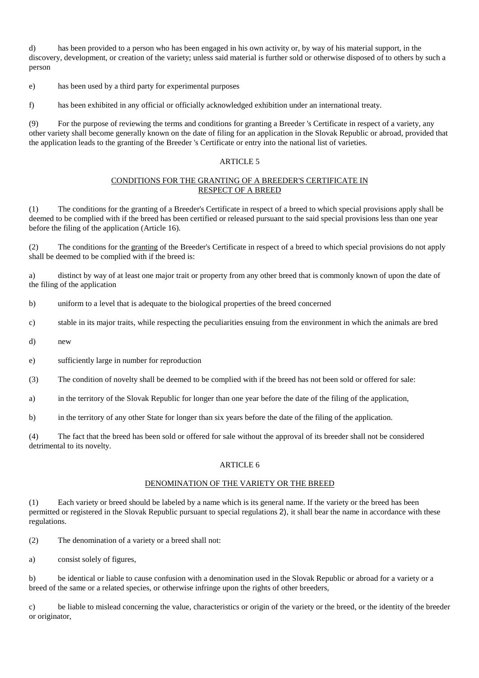d) has been provided to a person who has been engaged in his own activity or, by way of his material support, in the discovery, development, or creation of the variety; unless said material is further sold or otherwise disposed of to others by such a person

e) has been used by a third party for experimental purposes

f) has been exhibited in any official or officially acknowledged exhibition under an international treaty.

(9) For the purpose of reviewing the terms and conditions for granting a Breeder 's Certificate in respect of a variety, any other variety shall become generally known on the date of filing for an application in the Slovak Republic or abroad, provided that the application leads to the granting of the Breeder 's Certificate or entry into the national list of varieties.

## ARTICLE 5

## CONDITIONS FOR THE GRANTING OF A BREEDER'S CERTIFICATE IN RESPECT OF A BREED

(1) The conditions for the granting of a Breeder's Certificate in respect of a breed to which special provisions apply shall be deemed to be complied with if the breed has been certified or released pursuant to the said special provisions less than one year before the filing of the application (Article 16).

(2) The conditions for the granting of the Breeder's Certificate in respect of a breed to which special provisions do not apply shall be deemed to be complied with if the breed is:

a) distinct by way of at least one major trait or property from any other breed that is commonly known of upon the date of the filing of the application

b) uniform to a level that is adequate to the biological properties of the breed concerned

c) stable in its major traits, while respecting the peculiarities ensuing from the environment in which the animals are bred

d) new

e) sufficiently large in number for reproduction

(3) The condition of novelty shall be deemed to be complied with if the breed has not been sold or offered for sale:

a) in the territory of the Slovak Republic for longer than one year before the date of the filing of the application,

b) in the territory of any other State for longer than six years before the date of the filing of the application.

(4) The fact that the breed has been sold or offered for sale without the approval of its breeder shall not be considered detrimental to its novelty.

## ARTICLE 6

# DENOMINATION OF THE VARIETY OR THE BREED

(1) Each variety or breed should be labeled by a name which is its general name. If the variety or the breed has been permitted or registered in the Slovak Republic pursuant to special regulations 2), it shall bear the name in accordance with these regulations.

- (2) The denomination of a variety or a breed shall not:
- a) consist solely of figures,

b) be identical or liable to cause confusion with a denomination used in the Slovak Republic or abroad for a variety or a breed of the same or a related species, or otherwise infringe upon the rights of other breeders,

c) be liable to mislead concerning the value, characteristics or origin of the variety or the breed, or the identity of the breeder or originator,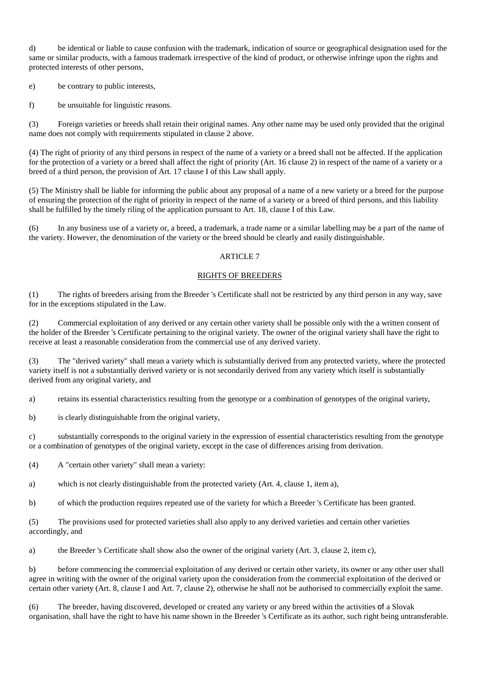d) be identical or liable to cause confusion with the trademark, indication of source or geographical designation used for the same or similar products, with a famous trademark irrespective of the kind of product, or otherwise infringe upon the rights and protected interests of other persons,

e) be contrary to public interests,

f) be unsuitable for linguistic reasons.

(3) Foreign varieties or breeds shall retain their original names. Any other name may be used only provided that the original name does not comply with requirements stipulated in clause 2 above.

(4) The right of priority of any third persons in respect of the name of a variety or a breed shall not be affected. If the application for the protection of a variety or a breed shall affect the right of priority (Art. 16 clause 2) in respect of the name of a variety or a breed of a third person, the provision of Art. 17 clause I of this Law shall apply.

(5) The Ministry shall be liable for informing the public about any proposal of a name of a new variety or a breed for the purpose of ensuring the protection of the right of priority in respect of the name of a variety or a breed of third persons, and this liability shall be fulfilled by the timely riling of the application pursuant to Art. 18, clause I of this Law.

(6) In any business use of a variety or, a breed, a trademark, a trade name or a similar labelling may be a part of the name of the variety. However, the denomination of the variety or the breed should be clearly and easily distinguishable.

## ARTICLE 7

## RIGHTS OF BREEDERS

(1) The rights of breeders arising from the Breeder 's Certificate shall not be restricted by any third person in any way, save for in the exceptions stipulated in the Law.

(2) Commercial exploitation of any derived or any certain other variety shall be possible only with the a written consent of the holder of the Breeder 's Certificate pertaining to the original variety. The owner of the original variety shall have the right to receive at least a reasonable consideration from the commercial use of any derived variety.

(3) The "derived variety" shall mean a variety which is substantially derived from any protected variety, where the protected variety itself is not a substantially derived variety or is not secondarily derived from any variety which itself is substantially derived from any original variety, and

a) retains its essential characteristics resulting from the genotype or a combination of genotypes of the original variety,

b) is clearly distinguishable from the original variety,

c) substantially corresponds to the original variety in the expression of essential characteristics resulting from the genotype or a combination of genotypes of the original variety, except in the case of differences arising from derivation.

(4) A "certain other variety" shall mean a variety:

a) which is not clearly distinguishable from the protected variety (Art. 4, clause 1, item a),

b) of which the production requires repeated use of the variety for which a Breeder 's Certificate has been granted.

(5) The provisions used for protected varieties shall also apply to any derived varieties and certain other varieties accordingly, and

a) the Breeder 's Certificate shall show also the owner of the original variety (Art. 3, clause 2, item c),

b) before commencing the commercial exploitation of any derived or certain other variety, its owner or any other user shall agree in writing with the owner of the original variety upon the consideration from the commercial exploitation of the derived or certain other variety (Art. 8, clause I and Art. 7, clause 2), otherwise he shall not be authorised to commercially exploit the same.

(6) The breeder, having discovered, developed or created any variety or any breed within the activities of a Slovak organisation, shall have the right to have his name shown in the Breeder 's Certificate as its author, such right being untransferable.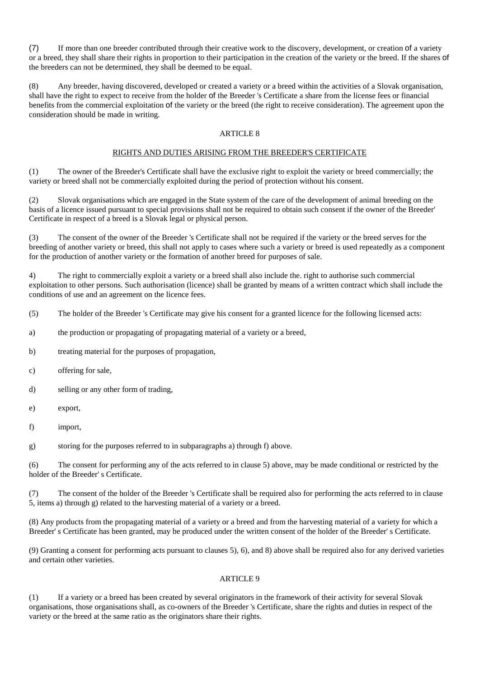(7) If more than one breeder contributed through their creative work to the discovery, development, or creation of a variety or a breed, they shall share their rights in proportion to their participation in the creation of the variety or the breed. If the shares of the breeders can not be determined, they shall be deemed to be equal.

(8) Any breeder, having discovered, developed or created a variety or a breed within the activities of a Slovak organisation, shall have the right to expect to receive from the holder of the Breeder 's Certificate a share from the license fees or financial benefits from the commercial exploitation of the variety or the breed (the right to receive consideration). The agreement upon the consideration should be made in writing.

## ARTICLE 8

# RIGHTS AND DUTIES ARISING FROM THE BREEDER'S CERTIFICATE

(1) The owner of the Breeder's Certificate shall have the exclusive right to exploit the variety or breed commercially; the variety or breed shall not be commercially exploited during the period of protection without his consent.

(2) Slovak organisations which are engaged in the State system of the care of the development of animal breeding on the basis of a licence issued pursuant to special provisions shall not be required to obtain such consent if the owner of the Breeder' Certificate in respect of a breed is a Slovak legal or physical person.

(3) The consent of the owner of the Breeder 's Certificate shall not be required if the variety or the breed serves for the breeding of another variety or breed, this shall not apply to cases where such a variety or breed is used repeatedly as a component for the production of another variety or the formation of another breed for purposes of sale.

4) The right to commercially exploit a variety or a breed shall also include the. right to authorise such commercial exploitation to other persons. Such authorisation (licence) shall be granted by means of a written contract which shall include the conditions of use and an agreement on the licence fees.

- (5) The holder of the Breeder 's Certificate may give his consent for a granted licence for the following licensed acts:
- a) the production or propagating of propagating material of a variety or a breed,
- b) treating material for the purposes of propagation,
- c) offering for sale,
- d) selling or any other form of trading,
- e) export,
- f) import,
- g) storing for the purposes referred to in subparagraphs a) through f) above.

(6) The consent for performing any of the acts referred to in clause 5) above, may be made conditional or restricted by the holder of the Breeder' s Certificate.

(7) The consent of the holder of the Breeder 's Certificate shall be required also for performing the acts referred to in clause 5, items a) through g) related to the harvesting material of a variety or a breed.

(8) Any products from the propagating material of a variety or a breed and from the harvesting material of a variety for which a Breeder' s Certificate has been granted, may be produced under the written consent of the holder of the Breeder' s Certificate.

(9) Granting a consent for performing acts pursuant to clauses 5), 6), and 8) above shall be required also for any derived varieties and certain other varieties.

## ARTICLE 9

(1) If a variety or a breed has been created by several originators in the framework of their activity for several Slovak organisations, those organisations shall, as co-owners of the Breeder 's Certificate, share the rights and duties in respect of the variety or the breed at the same ratio as the originators share their rights.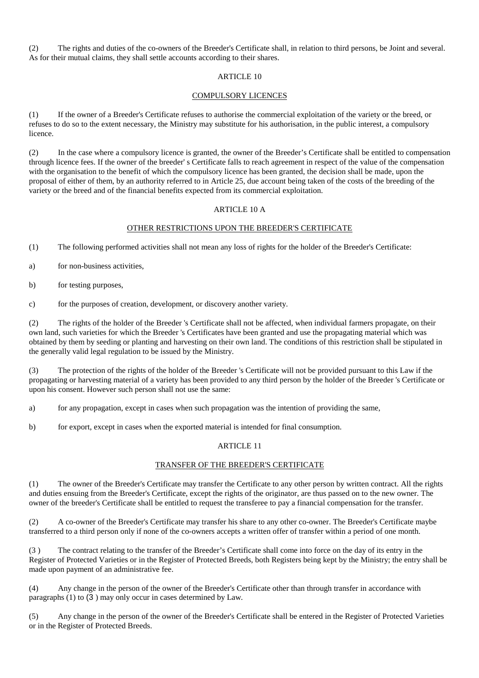(2) The rights and duties of the co-owners of the Breeder's Certificate shall, in relation to third persons, be Joint and several. As for their mutual claims, they shall settle accounts according to their shares.

## ARTICLE 10

## COMPULSORY LICENCES

(1) If the owner of a Breeder's Certificate refuses to authorise the commercial exploitation of the variety or the breed, or refuses to do so to the extent necessary, the Ministry may substitute for his authorisation, in the public interest, a compulsory licence.

(2) In the case where a compulsory licence is granted, the owner of the Breeder's Certificate shall be entitled to compensation through licence fees. If the owner of the breeder' s Certificate falls to reach agreement in respect of the value of the compensation with the organisation to the benefit of which the compulsory licence has been granted, the decision shall be made, upon the proposal of either of them, by an authority referred to in Article 25, due account being taken of the costs of the breeding of the variety or the breed and of the financial benefits expected from its commercial exploitation.

## ARTICLE 10 A

## OTHER RESTRICTIONS UPON THE BREEDER'S CERTIFICATE

(1) The following performed activities shall not mean any loss of rights for the holder of the Breeder's Certificate:

a) for non-business activities,

b) for testing purposes,

c) for the purposes of creation, development, or discovery another variety.

(2) The rights of the holder of the Breeder 's Certificate shall not be affected, when individual farmers propagate, on their own land, such varieties for which the Breeder 's Certificates have been granted and use the propagating material which was obtained by them by seeding or planting and harvesting on their own land. The conditions of this restriction shall be stipulated in the generally valid legal regulation to be issued by the Ministry.

(3) The protection of the rights of the holder of the Breeder 's Certificate will not be provided pursuant to this Law if the propagating or harvesting material of a variety has been provided to any third person by the holder of the Breeder 's Certificate or upon his consent. However such person shall not use the same:

a) for any propagation, except in cases when such propagation was the intention of providing the same,

b) for export, except in cases when the exported material is intended for final consumption.

## ARTICLE 11

## TRANSFER OF THE BREEDER'S CERTIFICATE

(1) The owner of the Breeder's Certificate may transfer the Certificate to any other person by written contract. All the rights and duties ensuing from the Breeder's Certificate, except the rights of the originator, are thus passed on to the new owner. The owner of the breeder's Certificate shall be entitled to request the transferee to pay a financial compensation for the transfer.

(2) A co-owner of the Breeder's Certificate may transfer his share to any other co-owner. The Breeder's Certificate maybe transferred to a third person only if none of the co-owners accepts a written offer of transfer within a period of one month.

(3 ) The contract relating to the transfer of the Breeder's Certificate shall come into force on the day of its entry in the Register of Protected Varieties or in the Register of Protected Breeds, both Registers being kept by the Ministry; the entry shall be made upon payment of an administrative fee.

(4) Any change in the person of the owner of the Breeder's Certificate other than through transfer in accordance with paragraphs (1) to (3 ) may only occur in cases determined by Law.

(5) Any change in the person of the owner of the Breeder's Certificate shall be entered in the Register of Protected Varieties or in the Register of Protected Breeds.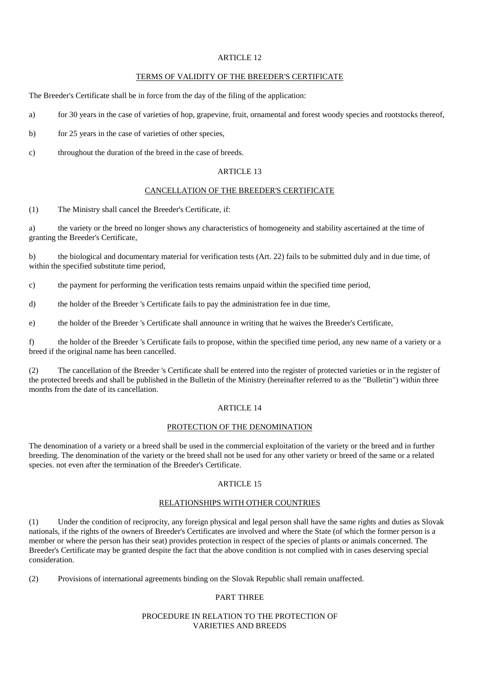# ARTICLE 12

#### TERMS OF VALIDITY OF THE BREEDER'S CERTIFICATE

The Breeder's Certificate shall be in force from the day of the filing of the application:

- a) for 30 years in the case of varieties of hop, grapevine, fruit, ornamental and forest woody species and rootstocks thereof,
- b) for 25 years in the case of varieties of other species,
- c) throughout the duration of the breed in the case of breeds.

#### ARTICLE 13

## CANCELLATION OF THE BREEDER'S CERTIFICATE

(1) The Ministry shall cancel the Breeder's Certificate, if:

a) the variety or the breed no longer shows any characteristics of homogeneity and stability ascertained at the time of granting the Breeder's Certificate,

b) the biological and documentary material for verification tests (Art. 22) fails to be submitted duly and in due time, of within the specified substitute time period,

c) the payment for performing the verification tests remains unpaid within the specified time period,

d) the holder of the Breeder 's Certificate fails to pay the administration fee in due time,

e) the holder of the Breeder 's Certificate shall announce in writing that he waives the Breeder's Certificate,

f) the holder of the Breeder 's Certificate fails to propose, within the specified time period, any new name of a variety or a breed if the original name has been cancelled.

(2) The cancellation of the Breeder 's Certificate shall be entered into the register of protected varieties or in the register of the protected breeds and shall be published in the Bulletin of the Ministry (hereinafter referred to as the "Bulletin") within three months from the date of its cancellation.

#### ARTICLE 14

#### PROTECTION OF THE DENOMINATION

The denomination of a variety or a breed shall be used in the commercial exploitation of the variety or the breed and in further breeding. The denomination of the variety or the breed shall not be used for any other variety or breed of the same or a related species. not even after the termination of the Breeder's Certificate.

## ARTICLE 15

#### RELATIONSHIPS WITH OTHER COUNTRIES

(1) Under the condition of reciprocity, any foreign physical and legal person shall have the same rights and duties as Slovak nationals, if the rights of the owners of Breeder's Certificates are involved and where the State (of which the former person is a member or where the person has their seat) provides protection in respect of the species of plants or animals concerned. The Breeder's Certificate may be granted despite the fact that the above condition is not complied with in cases deserving special consideration.

(2) Provisions of international agreements binding on the Slovak Republic shall remain unaffected.

## PART THREE

#### PROCEDURE IN RELATION TO THE PROTECTION OF VARIETIES AND BREEDS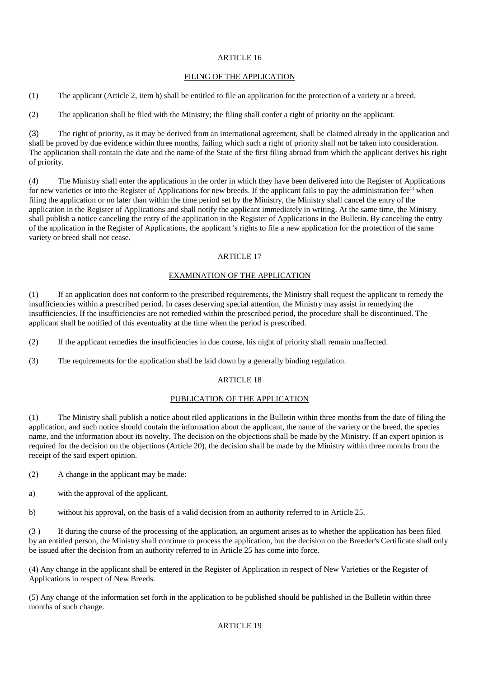## ARTICLE 16

## FILING OF THE APPLICATION

(1) The applicant (Article 2, item h) shall be entitled to file an application for the protection of a variety or a breed.

(2) The application shall be filed with the Ministry; the filing shall confer a right of priority on the applicant.

(3) The right of priority, as it may be derived from an international agreement, shall be claimed already in the application and shall be proved by due evidence within three months, failing which such a right of priority shall not be taken into consideration. The application shall contain the date and the name of the State of the first filing abroad from which the applicant derives his right of priority.

(4) The Ministry shall enter the applications in the order in which they have been delivered into the Register of Applications for new varieties or into the Register of Applications for new breeds. If the applicant fails to pay the administration fee<sup> $11$ </sup> when filing the application or no later than within the time period set by the Ministry, the Ministry shall cancel the entry of the application in the Register of Applications and shall notify the applicant immediately in writing. At the same time, the Ministry shall publish a notice canceling the entry of the application in the Register of Applications in the Bulletin. By canceling the entry of the application in the Register of Applications, the applicant 's rights to file a new application for the protection of the same variety or breed shall not cease.

## ARTICLE 17

## EXAMINATION OF THE APPLICATION

(1) If an application does not conform to the prescribed requirements, the Ministry shall request the applicant to remedy the insufficiencies within a prescribed period. In cases deserving special attention, the Ministry may assist in remedying the insufficiencies. If the insufficiencies are not remedied within the prescribed period, the procedure shall be discontinued. The applicant shall be notified of this eventuality at the time when the period is prescribed.

(2) If the applicant remedies the insufficiencies in due course, his night of priority shall remain unaffected.

(3) The requirements for the application shall be laid down by a generally binding regulation.

## ARTICLE 18

## PUBLICATION OF THE APPLICATION

(1) The Ministry shall publish a notice about riled applications in the Bulletin within three months from the date of filing the application, and such notice should contain the information about the applicant, the name of the variety or the breed, the species name, and the information about its novelty. The decision on the objections shall be made by the Ministry. If an expert opinion is required for the decision on the objections (Article 20), the decision shall be made by the Ministry within three months from the receipt of the said expert opinion.

- (2) A change in the applicant may be made:
- a) with the approval of the applicant,

b) without his approval, on the basis of a valid decision from an authority referred to in Article 25.

(3 ) If during the course of the processing of the application, an argument arises as to whether the application has been filed by an entitled person, the Ministry shall continue to process the application, but the decision on the Breeder's Certificate shall only be issued after the decision from an authority referred to in Article 25 has come into force.

(4) Any change in the applicant shall be entered in the Register of Application in respect of New Varieties or the Register of Applications in respect of New Breeds.

(5) Any change of the information set forth in the application to be published should be published in the Bulletin within three months of such change.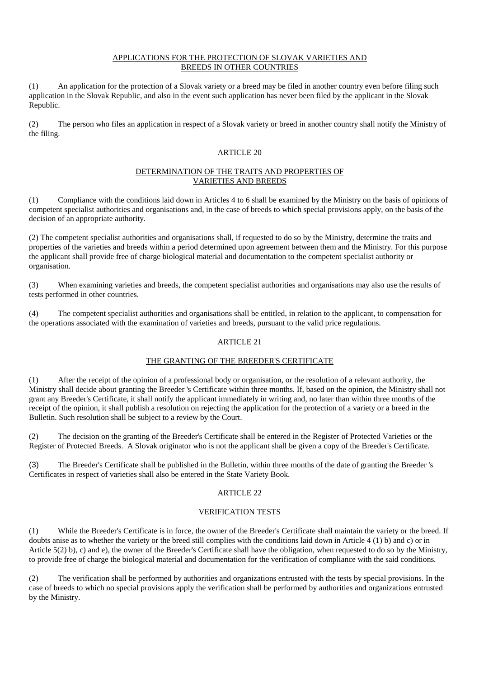## APPLICATIONS FOR THE PROTECTION OF SLOVAK VARIETIES AND BREEDS IN OTHER COUNTRIES

(1) An application for the protection of a Slovak variety or a breed may be filed in another country even before filing such application in the Slovak Republic, and also in the event such application has never been filed by the applicant in the Slovak Republic.

(2) The person who files an application in respect of a Slovak variety or breed in another country shall notify the Ministry of the filing.

## ARTICLE 20

## DETERMINATION OF THE TRAITS AND PROPERTIES OF VARIETIES AND BREEDS

(1) Compliance with the conditions laid down in Articles 4 to 6 shall be examined by the Ministry on the basis of opinions of competent specialist authorities and organisations and, in the case of breeds to which special provisions apply, on the basis of the decision of an appropriate authority.

(2) The competent specialist authorities and organisations shall, if requested to do so by the Ministry, determine the traits and properties of the varieties and breeds within a period determined upon agreement between them and the Ministry. For this purpose the applicant shall provide free of charge biological material and documentation to the competent specialist authority or organisation.

(3) When examining varieties and breeds, the competent specialist authorities and organisations may also use the results of tests performed in other countries.

(4) The competent specialist authorities and organisations shall be entitled, in relation to the applicant, to compensation for the operations associated with the examination of varieties and breeds, pursuant to the valid price regulations.

# ARTICLE 21

# THE GRANTING OF THE BREEDER'S CERTIFICATE

(1) After the receipt of the opinion of a professional body or organisation, or the resolution of a relevant authority, the Ministry shall decide about granting the Breeder 's Certificate within three months. If, based on the opinion, the Ministry shall not grant any Breeder's Certificate, it shall notify the applicant immediately in writing and, no later than within three months of the receipt of the opinion, it shall publish a resolution on rejecting the application for the protection of a variety or a breed in the Bulletin. Such resolution shall be subject to a review by the Court.

(2) The decision on the granting of the Breeder's Certificate shall be entered in the Register of Protected Varieties or the Register of Protected Breeds. A Slovak originator who is not the applicant shall be given a copy of the Breeder's Certificate.

(3) The Breeder's Certificate shall be published in the Bulletin, within three months of the date of granting the Breeder 's Certificates in respect of varieties shall also be entered in the State Variety Book.

## ARTICLE 22

## VERIFICATION TESTS

(1) While the Breeder's Certificate is in force, the owner of the Breeder's Certificate shall maintain the variety or the breed. If doubts anise as to whether the variety or the breed still complies with the conditions laid down in Article 4 (1) b) and c) or in Article 5(2) b), c) and e), the owner of the Breeder's Certificate shall have the obligation, when requested to do so by the Ministry, to provide free of charge the biological material and documentation for the verification of compliance with the said conditions.

(2) The verification shall be performed by authorities and organizations entrusted with the tests by special provisions. In the case of breeds to which no special provisions apply the verification shall be performed by authorities and organizations entrusted by the Ministry.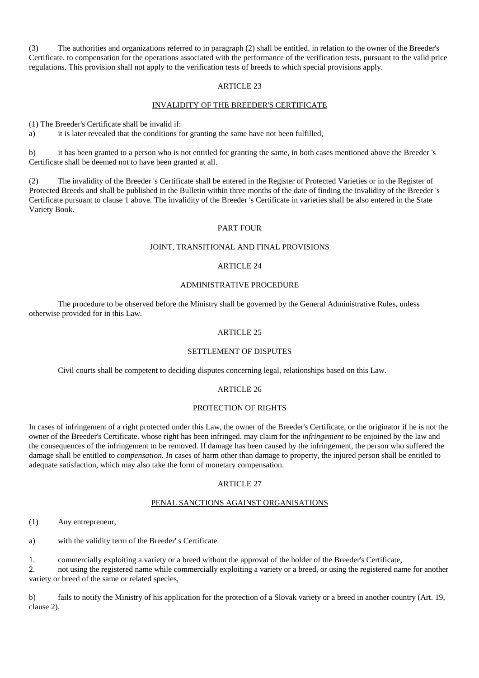(3) The authorities and organizations referred to in paragraph (2) shall be entitled. in relation to the owner of the Breeder's Certificate. to compensation for the operations associated with the performance of the verification tests, pursuant to the valid price regulations. This provision shall not apply to the verification tests of breeds to which special provisions apply.

## ARTICLE 23

## INVALIDITY OF THE BREEDER'S CERTIFICATE

(1) The Breeder's Certificate shall be invalid if:

a) it is later revealed that the conditions for granting the same have not been fulfilled,

b) it has been granted to a person who is not entitled for granting the same, in both cases mentioned above the Breeder 's Certificate shall be deemed not to have been granted at all.

(2) The invalidity of the Breeder 's Certificate shall be entered in the Register of Protected Varieties or in the Register of Protected Breeds and shall be published in the Bulletin within three months of the date of finding the invalidity of the Breeder 's Certificate pursuant to clause 1 above. The invalidity of the Breeder 's Certificate in varieties shall be also entered in the State Variety Book.

## PART FOUR

## JOINT, TRANSITIONAL AND FINAL PROVISIONS

## ARTICLE 24

## ADMINISTRATIVE PROCEDURE

The procedure to be observed before the Ministry shall be governed by the General Administrative Rules, unless otherwise provided for in this Law.

## ARTICLE 25

# SETTLEMENT OF DISPUTES

Civil courts shall be competent to deciding disputes concerning legal, relationships based on this Law.

# ARTICLE 26

## PROTECTION OF RIGHTS

In cases of infringement of a right protected under this Law, the owner of the Breeder's Certificate, or the originator if he is not the owner of the Breeder's Certificate. whose right has been infringed. may claim for the *infringement to* be enjoined by the law and the consequences of the infringement to be removed. If damage has been caused by the infringement, the person who suffered the damage shall be entitled to *compensation. In* cases of harm other than damage to property, the injured person shall be entitled to adequate satisfaction, which may also take the form of monetary compensation.

## ARTICLE 27

## PENAL SANCTIONS AGAINST ORGANISATIONS

(1) Any entrepreneur,

a) with the validity term of the Breeder' s Certificate

1. commercially exploiting a variety or a breed without the approval of the holder of the Breeder's Certificate,

2. not using the registered name while commercially exploiting a variety or a breed, or using the registered name for another variety or breed of the same or related species,

b) fails to notify the Ministry of his application for the protection of a Slovak variety or a breed in another country (Art. 19, clause 2),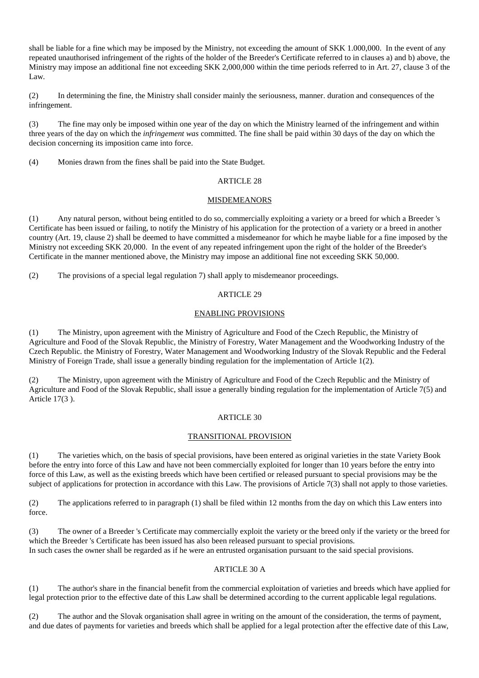shall be liable for a fine which may be imposed by the Ministry, not exceeding the amount of SKK 1.000,000. In the event of any repeated unauthorised infringement of the rights of the holder of the Breeder's Certificate referred to in clauses a) and b) above, the Ministry may impose an additional fine not exceeding SKK 2,000,000 within the time periods referred to in Art. 27, clause 3 of the Law.

(2) In determining the fine, the Ministry shall consider mainly the seriousness, manner. duration and consequences of the infringement.

(3) The fine may only be imposed within one year of the day on which the Ministry learned of the infringement and within three years of the day on which the *infringement was* committed. The fine shall be paid within 30 days of the day on which the decision concerning its imposition came into force.

(4) Monies drawn from the fines shall be paid into the State Budget.

## ARTICLE 28

## **MISDEMEANORS**

(1) Any natural person, without being entitled to do so, commercially exploiting a variety or a breed for which a Breeder 's Certificate has been issued or failing, to notify the Ministry of his application for the protection of a variety or a breed in another country (Art. 19, clause 2) shall be deemed to have committed a misdemeanor for which he maybe liable for a fine imposed by the Ministry not exceeding SKK 20,000. In the event of any repeated infringement upon the right of the holder of the Breeder's Certificate in the manner mentioned above, the Ministry may impose an additional fine not exceeding SKK 50,000.

(2) The provisions of a special legal regulation 7) shall apply to misdemeanor proceedings.

## ARTICLE 29

## ENABLING PROVISIONS

(1) The Ministry, upon agreement with the Ministry of Agriculture and Food of the Czech Republic, the Ministry of Agriculture and Food of the Slovak Republic, the Ministry of Forestry, Water Management and the Woodworking Industry of the Czech Republic. the Ministry of Forestry, Water Management and Woodworking Industry of the Slovak Republic and the Federal Ministry of Foreign Trade, shall issue a generally binding regulation for the implementation of Article 1(2).

(2) The Ministry, upon agreement with the Ministry of Agriculture and Food of the Czech Republic and the Ministry of Agriculture and Food of the Slovak Republic, shall issue a generally binding regulation for the implementation of Article 7(5) and Article 17(3 ).

## ARTICLE 30

## TRANSITIONAL PROVISION

(1) The varieties which, on the basis of special provisions, have been entered as original varieties in the state Variety Book before the entry into force of this Law and have not been commercially exploited for longer than 10 years before the entry into force of this Law, as well as the existing breeds which have been certified or released pursuant to special provisions may be the subject of applications for protection in accordance with this Law. The provisions of Article 7(3) shall not apply to those varieties.

(2) The applications referred to in paragraph (1) shall be filed within 12 months from the day on which this Law enters into force.

(3) The owner of a Breeder 's Certificate may commercially exploit the variety or the breed only if the variety or the breed for which the Breeder 's Certificate has been issued has also been released pursuant to special provisions. In such cases the owner shall be regarded as if he were an entrusted organisation pursuant to the said special provisions.

# ARTICLE 30 A

(1) The author's share in the financial benefit from the commercial exploitation of varieties and breeds which have applied for legal protection prior to the effective date of this Law shall be determined according to the current applicable legal regulations.

(2) The author and the Slovak organisation shall agree in writing on the amount of the consideration, the terms of payment, and due dates of payments for varieties and breeds which shall be applied for a legal protection after the effective date of this Law,